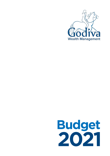

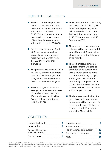## BUDGET HIGHLIGHTS

- The main rate of corporation tax will be increased to 25% from April 2023 for companies with profits of at least £250,000. At the same time, a new small companies' rate of 19% will apply to companies with profits of up to £50,000.
- For the two years from April 2021, companies investing in qualifying new plant and machinery will benefit from a 130% first-year capital allowance.
- The personal allowance will rise to £12,570 and the higher rate threshold will be £50,270 for 2021/22 and both will then be frozen for the next four years.
- The capital gains tax annual exemption, inheritance tax rate nil rate bands and pensions lifetime allowance will all be frozen at their current levels until April 2026.
- The exemption from stamp duty land tax on the first £500,000 of residential property value will be extended to 30 June 2021 and then replaced by a £250,000 exemption until 30 September 2021.
- The coronavirus job retention scheme will be extended in full until 30 June 2021 and will be phased out over the following three months.
- The self-employed income support scheme will also be extended at its current level with a fourth grant covering the period February to April. A fifth grant will cover the period May to September, but this will be at a lower level for those who have seen less than a 30% drop in turnover.
- The business rates holiday for retail, hospitality and leisure businesses will be extended for three months and will then be reduced to a 66% relief until the end of March 2022.

## CONTENTS

@ Copyright 3 March 2021. All rights reserved. This summary has been prepared very rapidly and is for general information only. The proposals are in any event subject to amendment before the Finance Act. You are recommended to seek competent professional advice before taking any action on the basis of the contents of this publication.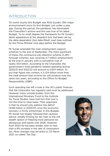## INTRODUCTION

On some counts this Budget was Rishi Sunak's 15th major announcement since his first Budget, just under a year ago. During this period, the pandemic has dominated the Chancellor's actions and this was true of his latest Budget. To no small degree the framework for Mr Sunak's latest appearance at the despatch box had been set by the data-dependent (but date-filled) road map outlined by the Prime Minister nine days before the Budget.

Mr Sunak extended the main employment support schemes to the end of September. The most significant of these, the coronavirus job retention scheme (CJRS – furlough scheme), was covering 4.7 million employments at the end of January with a cumulative cost of nearly £54 billion. According to the Chancellor, the government's total pandemic-related spending during 2020/21 and 2021/22 will amount to £407 billion. To put that figure into context, it is £14 billion more than the total amount that income tax will produce over the same two years, according to the Office for Budget Responsibility (OBR).

Such spending has left a hole in the UK's public finances that the Chancellor has regularly said must be addressed.

However, many outside bodies, from the International Monetary Fund to the Institute for Fiscal Studies, have told him that now is not the time to raise taxes. Their argument is that he should only address the deficit (£355 billion in 2020/21) once the economic recovery is firmly entrenched. In this Budget, Mr Sunak has largely followed that cautious advice, initially limiting his tax rises to the old stealth option of freezing most personal tax allowances and bands until 2026. However, from 2023 he has been bolder, with no less than a 6% increase in the rate of corporation tax. More changes may be aired on 23 March 2021, so-called 'Tax Day'.

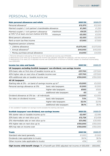# PERSONAL TAXATION

| <b>Main personal allowances and reliefs</b>               |         | 2021/22    | 2020/21    |
|-----------------------------------------------------------|---------|------------|------------|
| Personal allowance <sup>1</sup>                           |         | £12,570    | £12,500    |
| Married couple's / civil partner's transferable allowance |         | £1,260     | £1,250     |
| Married couple's / civil partner's allowance              | maximum | £9,125     | £9,075     |
| at $10\%^2$ (if at least one born before $6/4/35$ )       | minimum | £3,530     | £3,510     |
| Blind person's allowance                                  |         | £2,520     | £2,500     |
| Rent-a-room tax-free income                               |         | £7,500     | £7,500     |
| Registered pension schemes                                |         |            |            |
| • Lifetime allowance                                      |         | £1,073,100 | £1,073,100 |
| • Annual allowance $3$                                    |         | £40,000    | £40,000    |
| • Money purchase annual allowance                         |         | £4.000     | £4.000     |

1. Personal allowance reduced by £1 for every £2 of adjusted net income over £100,000.

2. Reduced by £1 for every £2 of adjusted net income over £30,400 (£30,200 for 2020/21), until the minimum is reached.

3. Reduced by £1 for every £2 of adjusted income over £240,000 to a minimum of £4,000, subject to threshold income being over £200,000.

| <b>Income tax rates and bands</b>                                              |                           | 2021/22  | 2020/21  |
|--------------------------------------------------------------------------------|---------------------------|----------|----------|
| UK taxpayers excluding Scottish taxpayers' non-dividend, non-savings income    |                           |          |          |
| 20% basic rate on first slice of taxable income up to                          |                           | £37,700  | £37,500  |
| 40% higher rate on next slice of taxable income over                           |                           | £37,700  | £37,500  |
| 45% additional rate on taxable income over                                     |                           | £150,000 | £150,000 |
| All UK taxpayers                                                               |                           |          |          |
| Starting rate at 0% - on band of savings income up to $4\overline{ }$          |                           | £5,000   | £5,000   |
| Personal savings allowance at 0%:                                              | basic rate taxpayers      | £1,000   | £1,000   |
|                                                                                | higher rate taxpayers     | £500     | £500     |
|                                                                                | additional rate taxpayers | £٥       | £Ο       |
| Dividend allowance at 0% tax - all individuals                                 |                           | £2,000   | £2,000   |
| Tax rates on dividend income:                                                  | basic rate taxpayers      | 7.5%     | 7.5%     |
|                                                                                | higher rate taxpayers     | 32.5%    | 32.5%    |
|                                                                                | additional rate taxpayers | 38.1%    | 38.1%    |
| 4. Not available if taxable non-savings income exceeds the starting rate band. |                           |          |          |
| Scottish taxpavers' non-dividend, non-savings income                           |                           | 2021/22  | 2020/21  |

| Contrict tovanional non-dividend non-envince income |  |
|-----------------------------------------------------|--|

| Scottish taxpayers' non-dividend, non-savings income<br>2021/22 | 2020/21  |
|-----------------------------------------------------------------|----------|
| 19% starter rate on taxable income up to<br>£2.097              | £2.085   |
| 20% basic rate on next slice up to<br>£12,726                   | £12.658  |
| £31.092<br>21% intermediate rate on next slice up to            | £30.930  |
| 41% higher rate on next slice up to<br>£150,000                 | £150,000 |
| 46% top rate on income over<br>£150,000                         | £150,000 |

| 2021/22 | 2020/21 |
|---------|---------|
| £1.000  | £1.000  |
| 38.1%   | 38.1%   |
| 45%     | 45%     |
|         |         |

**High income child benefit charge:** 1% of benefit per £100 adjusted net income of £50,000 — £60,000.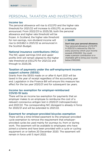## PERSONAL TAXATION AND INVESTMENTS

#### Income tax

The personal allowance will rise to £12,570 and the higher rate threshold for 2021/22 will increase to £50,270, as previously announced. From 2022/23 to 2025/26, both the personal

allowance and higher rate threshold will be frozen. In Scotland, the higher rate threshold for non-savings, non-dividend income will rise to £43,662 in 2021/22 as announced in the Scottish Budget.

#### National insurance contributions (NICs)

The NIC upper earnings limit and upper profits limit will remain aligned to the higher rate threshold at £50,270 for 2021/22 and through to 2025/26.

#### **> SAVER**

Don't lose your personal allowance. Your personal allowance of £12,570 in 2021/22 is reduced by 50p for every pound by which your income exceeds £100,000. You could make a pension contribution or a charitable gift to bring your income below £100,000.

### Taxation of payments under the self-employment income support scheme (SEISS)

Grants from the SEISS made on or after 6 April 2021 will be taxed in the year of receipt regardless of the accounting year end. Legislation in the Finance Bill will ensure this measure has effect for the tax year 2020/21 and for subsequent tax years.

#### Income tax exemption for employer-reimbursed COVID-19 tests

There will be an income tax exemption for payments that an employer makes to an employee to reimburse the cost of a relevant coronavirus antigen test in 2020/21 (retrospectively) and 2021/22. The corresponding NIC disregard is already in force for 2020/21 and will be extended to 2021/22.

#### Easement for employer-provided bicycles exemption

There will be a time-limited easement to the employer-provided cycle exemption to remove the requirement that employerprovided cycles be used mainly for journeys to, from or during work. The easement will be available to employees who have joined a scheme and have been provided with a cycle or cycling equipment on or before 20 December 2020. The easement will remain in force until 5 April 2022.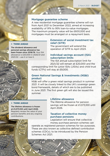#### Mortgage guarantee scheme

A new residential mortgage guarantee scheme will run from April 2021 to December 2022, aimed at increasing availability of 91% to 95% loan-to-value mortgages. The maximum property value will be £600,000 and mortgages must be arranged on a repayment basis.

#### **> THINK AHEAD**

The dividend allowance and personal savings allowance has been frozen since 2018/19. Your ISA allowance is £20,000 in 2020/21 and 2021/22 – use it or lose it.

## Extension of social investment tax relief (SITR)

The government will extend the operation of SITR to April 2023.

## Individual savings account (ISA) subscription limits

The ISA annual subscription limit for 2021/22 will remain at £20,000 and the

corresponding limit for junior ISAs (JISAs) and child trust funds (CTFs) will stay at £9,000.

## Green National Savings & Investments (NS&I) product

NS&I will offer a green retail savings product in summer 2021. It will be closely linked to the UK's sovereign green bond framework, details of which are to be published in June 2021. The first green gilt will also be issued this summer.

#### **> THINK AHEAD**

The lifetime allowance is frozen at £1,073,100 until April 2026. Regularly review the value of your pension benefits and any ongoing contributions.

### Lifetime allowance

The lifetime allowance for pension savings will be frozen at £1,073,100 until April 2026.

## Taxation of collective money purchase pensions

Legislation will ensure that collective money purchase pension schemes can

operate as registered pension schemes for tax purposes. These are also known as collective defined contribution schemes (CDCs), to be introduced by the Pension Schemes Act 2021.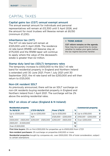# CAPITAL TAXES

#### Capital gains tax (CGT) annual exempt amount

The annual exempt amount for individuals and personal representatives will remain at £12,300 until 5 April 2026, and the amount for most trustees will likewise remain at £6,150 (minimum £1,230).

#### Inheritance tax (IHT)

The IHT nil rate band will remain at £325,000 until 5 April 2026. The residence nil rate band (RNRB) will likewise stay at £175,000 and the RNRB taper will continue to apply where the value of the deceased's estate is greater than £2 million.

#### **> THINK AHEAD**

CGT reform remains on the agenda. Now may be a good time to review whether to realise your gains before the tax regime becomes harsher.

#### Stamp duty land tax (SDLT) temporary rates

The temporary increase to £500,000 to the SDLT nil rate band for residential property in England and Northern Ireland is extended until 30 June 2021. From 1 July 2021 until 30 September 2021, the nil rate band will be £250,000 and will then return to £125,000.

#### Non-UK resident SDLT

As previously announced, there will be an SDLT surcharge on non-UK residents buying residential property in England and Northern Ireland from 1 April 2021. The surcharge will be 2% above the existing residential rates.

#### SDLT on slices of value (England & N Ireland)

| <b>Residential property</b>               |                    |                     |                | <b>Commercial property</b> |                |
|-------------------------------------------|--------------------|---------------------|----------------|----------------------------|----------------|
| To 30/6/21                                | $1/7/21 - 30/9/21$ | From 1/10/21        | %              |                            | ℅              |
| Up to £500,000                            | Up to £250,000     | Up to £125,000      |                | 0   Up to £150,000         | Ω              |
| N/A                                       | N/A                | £125,000 - £250,000 | 2 <sup>1</sup> | £150,001 - £250,000        | $\overline{2}$ |
| £500.000 - £925.000   £250.001 - £925.000 |                    | £250.001 - £925.000 |                | 5 Over £250,000            |                |
| £925.001 - £1.500.000                     |                    |                     | 10             |                            |                |
| Over £1,500,000                           |                    |                     | 12             |                            |                |

First time buyers: 0% on first £300,000 for properties up to £500,000 from 1/7/21

Non-resident purchasers: 2% surcharge on properties £40,000 or more

Residential properties bought by companies etc. over £500,000: 15% of total consideration, subject to certain exemptions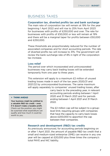## BUSINESS TAXES

#### Corporation tax, diverted profits tax and bank surcharge

The main rate of corporation tax will remain at 19% for the year beginning 1 April 2022 and will rise to 25% from April 2023 for businesses with profits of £250,000 and over. The rate for businesses with profits of £50,000 or less will remain at 19% and there will be a marginal taper for profits between £50,000 and £250,000.

These thresholds are proportionately reduced for the number of associated companies and for short accounting periods. The rate of diverted profits tax will increase to 31%. The government will review the bank surcharge rate of 8% in light of the corporation tax increase.

## Loss relief

The period over which incorporated and unincorporated businesses may carry back trading losses will be extended temporarily from one year to three years.

This extension will apply to a maximum £2 million of unused trading losses made in each of the tax years 2020/21 and 2021/22 by unincorporated businesses. The same maximum will apply separately to companies' unused trading losses, after

#### **> THINK AHEAD**

Your business might be entitled to a valuable R&D tax credit – even if it doesn't make a taxable profit. Check out the position; you might be surprised what expenditure can qualify and how much it could be worth to you.

carry back to the preceding year, in relevant accounting periods ending between 1 April 2020 and 31 March 2021 and for periods ending between 1 April 2021 and 31 March 2022.

The £2 million cap will be subject to a grouplevel limit, requiring groups with companies that have the capacity to carry back losses above £200,000 to apportion the cap between their companies.

#### Research and development (R&D) tax credits

As previously announced, for accounting periods beginning on or after 1 April 2021, the amount of payable R&D tax credit that a small and medium-sized enterprise (SME) can receive in any one year will be capped at £20,000 plus three times the company's total PAYE and NIC liability.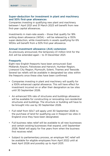## Super-deduction for investment in plant and machinery and 50% first-year allowances

Companies investing in qualifying new plant and machinery between 1 April 2021 and 31 March 2023 will benefit from new first-year capital allowances.

Investments in main-rate assets – those that qualify for 18% writing down allowance (WDA) – will be relieved by a 130% super-deduction, while investments in assets qualifying for 6% WDAs will benefit from a 50% first-year allowance.

#### Annual investment allowance (AIA) extension

As previously announced, the temporary £1 million limit for the AIA will be extended again – to 31 December 2021.

### **Freeports**

Eight new English freeports have been announced: East Midlands Airport, Felixstowe and Harwich, Humber Region, Liverpool City Region, Plymouth, Solent, Thames and Teesside. Several tax reliefs will be available in designated tax sites within the freeports once these sites have been confirmed.

- Companies investing in plant and machinery will qualify for a 100% enhanced capital allowance. This will have effect for investment incurred on or after their designation as tax sites until 30 September 2026.
- An enhanced 10% rate of structures and buildings allowance will be available for constructing or renovating non-residential structures and buildings. The structure or building will have to be brought into use by 30 September 2026.
- Full relief from SDLT will apply until 30 September 2026 to the purchase of land for qualifying use in freeport tax sites in England once they have been designated.
- Full business rates relief will be available to all new businesses and certain existing businesses that expand, until September 2026. Relief will apply for five years from when the business first receives relief.
- Subject to parliamentary process, an employer NIC relief will be available for eligible employees from April 2022 until at least April 2026 and possibly up to April 2031.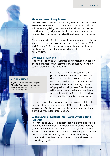### Plant and machinery leases

Certain parts of anti-avoidance legislation affecting leases extended as a result of COVID-19 will be turned off. This will restore eligibility to claim capital allowances to the position as originally intended immediately before the date of the change in consideration due under the lease.

The change will affect leases only where a relevant change in consideration is implemented between 1 January 2020 and 30 June 2021. Either party may choose not to apply this treatment, the election for which will be binding on both parties.

#### Off-payroll working

A technical change will address an unintended widening of the definition of an intermediary company in the offpayroll working rules legislation.

#### **> THINK AHEAD**

If you want to take advantage of Time to Pay, make sure that you have adequate records to justify your claim to HMRC.

Changes to the rules regarding the provision of information by parties in the labour supply chain will make it easier for parties in a contractual chain to share information relating to the off-payroll working rules. The changes will allow an intermediary, as well as a worker, to confirm if the rules need to be considered by the client organisation.



The government will also amend a provision relating to fraudulent information to allow HMRC to take action against any UK-based party in the labour supply chain providing fraudulent information.

## Withdrawal of London Inter-Bank Offered Rate (LIBOR)

References to LIBOR in certain leasing provisions will be replaced by 'incremental borrowing rate' as defined by generally accepted accounting practice (GAAP). A timelimited power will be introduced to allow any unintended tax consequences arising from the transition away from LIBOR and other benchmark rates to be addressed in secondary legislation.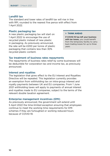#### Landfill tax

The standard and lower rates of landfill tax will rise in line with RPI, rounded to the nearest five pence with effect from 1 April 2022.

### Plastic packaging tax

A new plastic packaging tax will start on 1 April 2022 to encourage the use of recycled plastic instead of new plastic in packaging. As previously announced, the rate will be £200 per tonne of plastic packaging that contains less than 30% recycled plastic content.

#### **> THINK AHEAD**

If COVID-19 has left your business with tax losses, you could benefit from the temporary facility to carry back trading losses for up to three years

### Tax treatment of business rates repayments

The repayments of business rates relief by some businesses will be deductible for corporation tax and income tax, as previously announced.

#### Interest and royalties

The legislation that gives effect to the EU Interest and Royalties Directive will be repealed. This legislation currently provides an exemption from withholding tax on intra-group interest and royalty payments between UK and EU companies. From 1 June 2021 withholding taxes will apply to payments of annual interest and royalties made to EU companies, subject to the terms of the relevant double taxation agreement.

#### Enterprise management incentives (EMI)

As previously announced, the government will extend until 5 April 2022 the time-limited exception ensuring that employees continue to meet the working time requirements for EMI schemes if they are furloughed or working reduced hours because of COVID-19.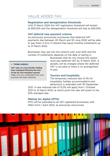## VALUE ADDED TAX

#### Registration and deregistration thresholds

Until 31 March 2024 the VAT registration threshold will remain at £85,000 and the deregistration threshold will stay at £83,000.

#### VAT deferral new payment scheme

As previously announced, businesses that deferred VAT payments due between 20 March and 30 June 2020 will be able to pay them in 8 to 11 interest-free equal monthly instalments up to 31 March 2022.

Businesses may opt into the scheme until June 2021 and the number of instalments depends on the date of opting in.

#### **> THINK AHEAD**

VAT rules on cross-border trading have changed following the end of the EU exit transition period. Make sure you understand how your business has been affected.

Businesses that do not choose this option must pay deferred VAT by 31 March 2021. A penalty will be charged where the deferred VAT is not paid or there is no arrangement to pay.

#### Tourism and hospitality

The temporary reduced rate of 5% for hospitality, holiday accommodation and attractions is extended until 30 September

2021. A new reduced rate of 12.5% will apply from 1 October 2021 to 31 March 2022, at which point the rate will revert to the 20% standard rate.

#### Making tax digital (MTD)

MTD will be extended to all VAT registered businesses with effect from 1 April 2022, as previously announced.

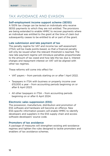# TAX AVOIDANCE AND EVASION

### Self-employment income support scheme (SEISS)

A 100% tax charge can be levied on individuals who receive SEISS payments to which they are not entitled. The provisions are being extended to enable HMRC to recover payments where an individual was entitled to the grant at the time of claim but subsequently ceases to be entitled to all or part of the grant.

### Late submission and late payment of tax

The penalty regime for VAT and income tax self-assessment (ITSA) will be made points-based, so that a financial penalty will only be issued when the relevant threshold is reached. The new late payment regime will introduce penalties proportionate to the amount of tax owed and how late the tax due is. Interest charges and repayment interest on VAT will be aligned with other tax regimes.

These reforms will come into effect for:

- VAT payers from periods starting on or after 1 April 2022.
- Taxpayers in ITSA with business or property income over £10,000 a year – from accounting periods beginning on or after 6 April 2023.
- All other taxpayers in ITSA from accounting periods beginning on or after 6 April 2024.

## Electronic sales suppression (ESS)

The possession, manufacture, distribution and promotion of ESS software and hardware will become an offence. New ESS-specific information powers will enable HMRC to identify developers and suppliers in the ESS supply chain and access software developers' source code.

### Promoters of tax avoidance

A package of measures will strengthen existing anti-avoidance regimes and tighten the rules designed to tackle promoters and enablers of tax avoidance schemes.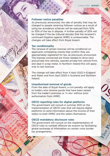#### Follower notice penalties

As previously announced, the rate of penalty that may be charged to people receiving follower notices as a result of using tax avoidance schemes will be reduced from 50% to 30% of the tax in dispute. A further penalty of 20% will be charged if the tax tribunal decides that the recipient's continued litigation against HMRC is unreasonable. The changes will take effect from Royal Assent.

## Tax conditionality

The renewal of certain licences will be conditional on applicants completing checks that confirm they are appropriately registered for tax, as previously announced. The licences concerned are those needed to drive taxis and private hire vehicles, operate private hire vehicle firms and deal in scrap metal. In Northern Ireland this will apply only to taxi licences.

The change will take effect from 4 April 2022 in England and Wales and from April 2023 in Scotland and Northern Ireland.

## Unauthorised removal of goods

From the date of Royal Assent, a civil penalty will apply to traders who remove goods that have been seized from the trader's premises or 'in situ' without prior authorisation from HMRC.

## OECD reporting rules for digital platforms

The government will consult in summer 2021 on the implementation of OECD rules that will require digital platforms to send information about the income of their sellers to both HMRC and the sellers themselves.

## OECD mandatory disclosure rules

The government will consult on the implementation of OECD rules to combat offshore tax evasion by facilitating global exchange of information on certain cross border tax arrangements.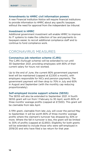#### Amendments to HMRC civil information powers

A new Financial Institution Notice will require financial institutions to provide information to HMRC about any specific taxpayer, without the need for approval from the independent tax tribunal.

#### Investment in HMRC

Additional government investment will enable HMRC to improve its IT systems to make the collection of tax and payments to taxpayers easier, to recruit additional compliance staff and to continue to fund compliance work.

## CORONAVIRUS MEASURES

### Coronavirus job retention scheme (CJRS)

The CJRS (furlough scheme) will be extended to run until 30 September 2021, providing employees with 80% of their current salary for hours not worked.

Up to the end of June, the current 80% government payment level will be maintained (capped at £2,500 a month), with employers responsible for NICs and pension payments. The government payment will then drop to 70% in July and 60% in August and September (with the monthly cap reducing proportionately).

#### Self-employed income support scheme (SEISS)

The SEISS will also be extended to September 2021. A fourth SEISS grant will run from 1 February to 30 April, worth 80% of three months' average profits (capped at £7,500). This grant will be claimable from late April.

A fifth grant, claimable from late July, will cover the period May to September. It will be worth 80% of three months' average profits where the claimant's turnover has dropped by 30% or more. Where the fall in turnover is less, the grant will be limited to 30% of profits (capped at £2,850). Eligibility for both grants will be extended to include those who were self-employed in 2019/20 and who have filed a tax return for that year.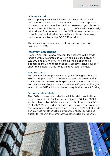#### Universal credit

The temporary £20 a week increase in universal credit will continue to be paid until 30 September 2021. The suspension of the minimum income floor (MIF) for self-employed claimants will continue until the end of July 2021. The MIF will be gradually reintroduced from August, but the DWP will use discretion not to apply it on an individual basis where a claimant's earnings continue to be affected by COVID-19 restrictions.

Those claiming working tax credits will receive a one-off payment of £500.

#### Recovery loan scheme

From 6 April 2021, a new recovery loan scheme will provide lenders with a guarantee of 80% on eligible loans between £25,000 and £10 million. The scheme will be open to all businesses, including those that have already received support under the existing COVID-19 guaranteed loan schemes.

#### Restart grants

The government will provide restart grants in England of up to £6,000 per premises for non-essential retail businesses and up to £18,000 per premises for hospitality, accommodation, leisure, personal care and gyms. Local authorities in England will be given an additional £425 million of discretionary business grant funding.

#### Business rates reliefs

The 100% business rates relief for eligible retail, hospitality and leisure properties in England will continue to 30 June 2021. It will be followed by 66% business rates relief from 1 July 2021 to 31 March 2022, capped at £2 million per business for properties that were required to be closed on 5 January 2021, or £105,000 per business for other eligible properties. Nurseries will also qualify for relief in the same way as other eligible properties.

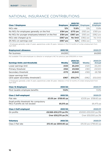# NATIONAL INSURANCE CONTRIBUTIONS

| <b>Class 1 Employees</b>                                         | <b>Employee</b> | 2021/22<br><b>Employer</b> | <b>Employee</b> | 2020/21<br><b>Employer</b> |
|------------------------------------------------------------------|-----------------|----------------------------|-----------------|----------------------------|
| NICs rate                                                        | 12%             | 13.8%                      | 12%             | 13.8%                      |
| No NICs for employees generally on the first                     | £184 pw         | £170 pw                    | $£183$ pw       | $£169$ pw                  |
| No NICs for younger employees/veterans <sup>1</sup> on the first | £184 pw         | £967 pw                    | $£183$ pw       | £962 pw                    |
| NICs rate charged up to                                          | £967 pw         | No limit                   | £962 pw         | No limit                   |
| 2% NICs on earnings over                                         | £967 pw         | N/A                        | £962 pw         | N/A                        |

1. Employees generally under 21 years, apprentices under 25 years. Veterans in first 12 months of civilian employment from April 2021.

| <b>Employment allowance</b> | 2021/22 | 2020/21 |
|-----------------------------|---------|---------|
| Per business                | £4.000  | £4.000  |

Not available if the sole employee is a director or employer's NIC for previous year £100,000 or more.

| <b>Earnings limits and thresholds</b>                                  | <b>Weekly</b> | 2021/22<br><b>Annual</b> | Weekly | 2020/21<br><b>Annual</b> |
|------------------------------------------------------------------------|---------------|--------------------------|--------|--------------------------|
| Lower earnings limit                                                   | £120          | £6.240                   | £120   | £6.240                   |
| Primary threshold                                                      | £184          | £9.568                   | £183   | £9,500                   |
| Secondary threshold                                                    | £170          | £8,840                   | £16.9  | £8.788                   |
| Upper earnings limit<br>(and upper secondary thresholds <sup>2</sup> ) | £967          | £50,270                  | £962   | £50,000                  |

2. Employees generally under 21 years, apprentices under 25 years. Veterans in first 12 months of civilian employment from April 2021.

| 2021/22              | 2020/21                                |
|----------------------|----------------------------------------|
| 13.8%                | 13.8%                                  |
| 2021/22              | 2020/21                                |
| £3.05 pw £158.60 pa  | £3.05 pw £158.60 pa                    |
| £6,515 pa            | £6.475 pa                              |
| 2021/22              | 2020/21                                |
| £9,568-£50,270 pa 9% | £9.500-£50.000 pa 9%                   |
| Over £50,270 pa 2%   | Over £50,000 pa 2%                     |
|                      | Small profits threshold: No compulsory |

| <b>Voluntary</b>  | 2021/22              | 2020/21              |
|-------------------|----------------------|----------------------|
| Class 3 flat rate | £15.40 pw £800.80 pa | £15.30 pw £795.60 pa |